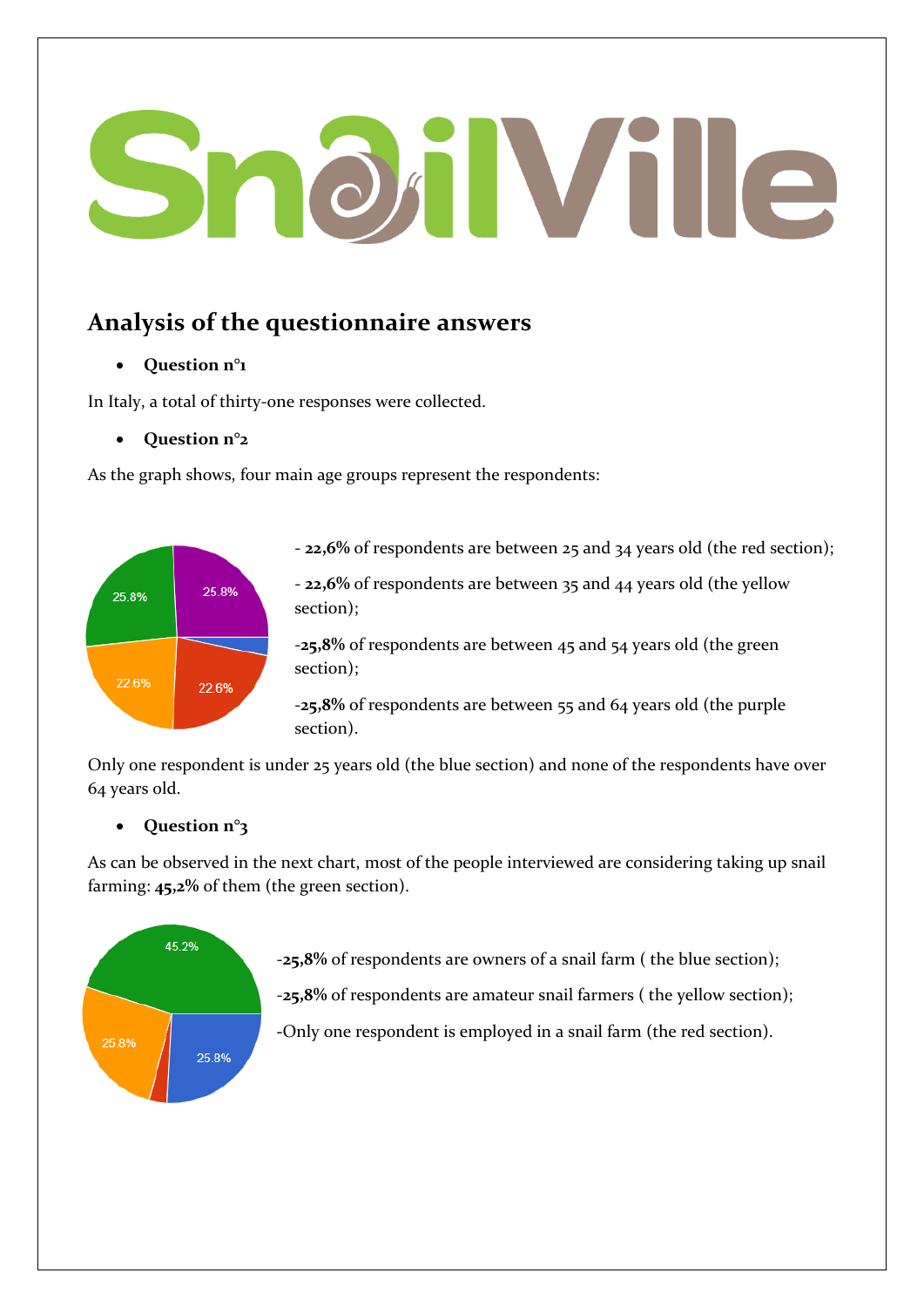# **OHVille**

# **Analysis of the questionnaire answers**

# **Question n°1**

In Italy, a total of thirty-one responses were collected.

#### **Question n°2**

As the graph shows, four main age groups represent the respondents:



- **22,6%** of respondents are between 25 and 34 years old (the red section);

- **22,6%** of respondents are between 35 and 44 years old (the yellow section);

-**25,8%** of respondents are between 45 and 54 years old (the green section);

-**25,8%** of respondents are between 55 and 64 years old (the purple section).

Only one respondent is under 25 years old (the blue section) and none of the respondents have over 64 years old.

# **Question n°3**

As can be observed in the next chart, most of the people interviewed are considering taking up snail farming: **45,2%** of them (the green section).



-**25,8%** of respondents are owners of a snail farm ( the blue section);

-**25,8%** of respondents are amateur snail farmers ( the yellow section);

**-**Only one respondent is employed in a snail farm (the red section).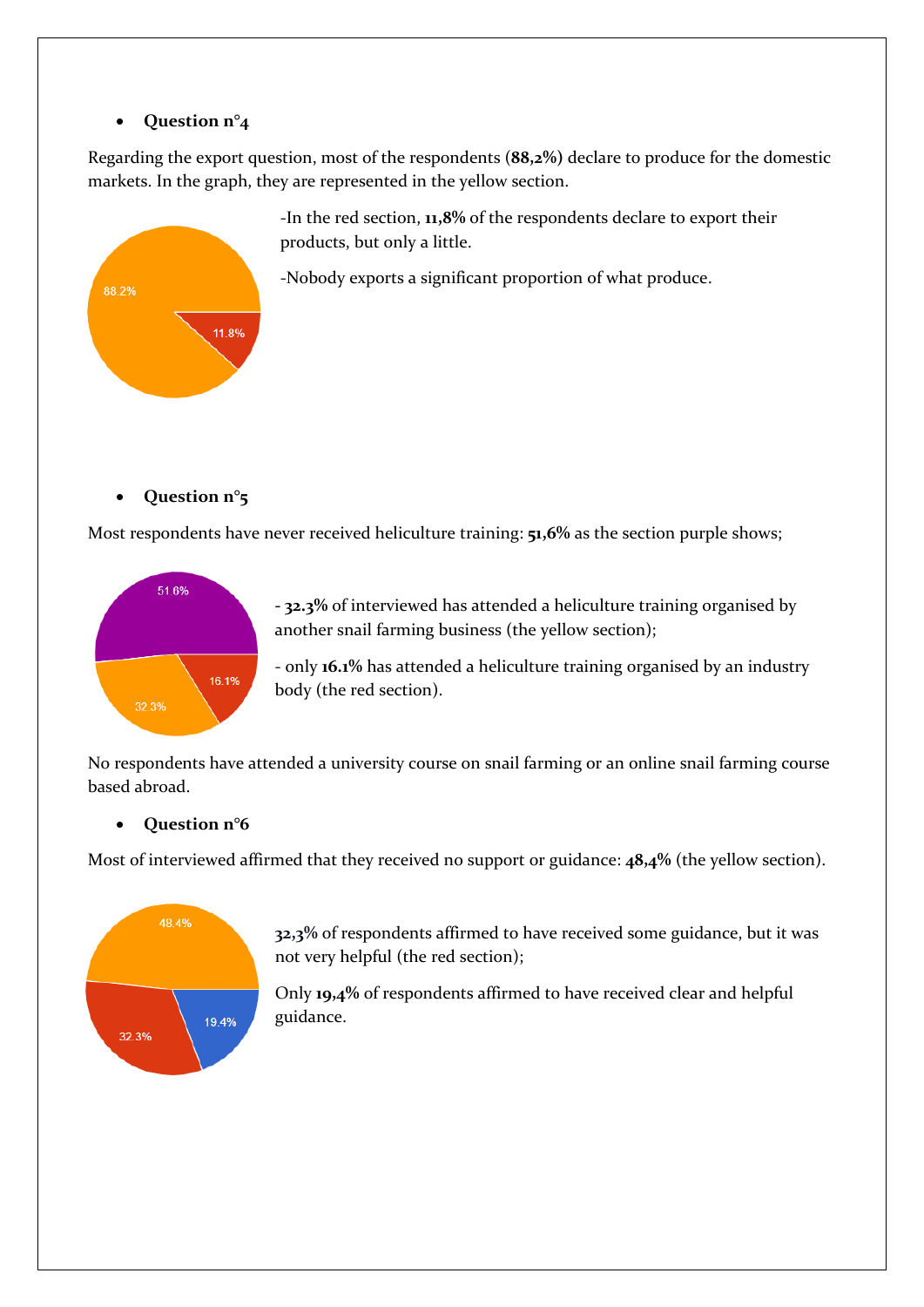#### • Question n°<sub>4</sub>

Regarding the export question, most of the respondents (**88,2%)** declare to produce for the domestic markets. In the graph, they are represented in the yellow section.



-In the red section, **11,8%** of the respondents declare to export their products, but only a little.

-Nobody exports a significant proportion of what produce.

# **Question n°5**

Most respondents have never received heliculture training: **51,6%** as the section purple shows;



**- 32.3%** of interviewed has attended a heliculture training organised by another snail farming business (the yellow section);

- only **16.1%** has attended a heliculture training organised by an industry body (the red section).

No respondents have attended a university course on snail farming or an online snail farming course based abroad.

# **Question n°6**

Most of interviewed affirmed that they received no support or guidance: **48,4%** (the yellow section).



**32,3%** of respondents affirmed to have received some guidance, but it was not very helpful (the red section);

Only **19,4%** of respondents affirmed to have received clear and helpful guidance.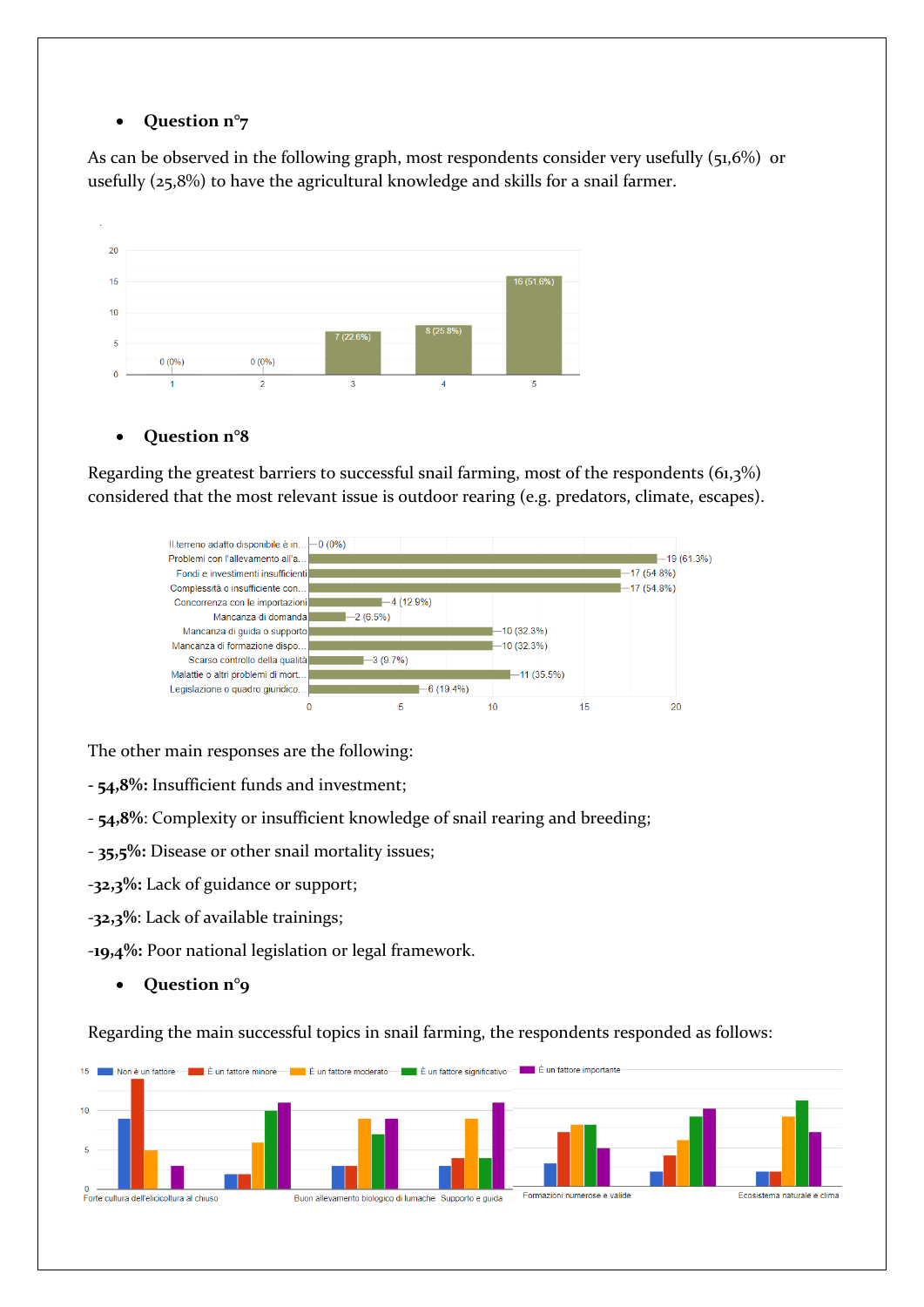#### **Question n°7**

As can be observed in the following graph, most respondents consider very usefully (51,6%) or usefully (25,8%) to have the agricultural knowledge and skills for a snail farmer.



#### **Question n°8**

Regarding the greatest barriers to successful snail farming, most of the respondents (61,3%) considered that the most relevant issue is outdoor rearing (e.g. predators, climate, escapes).



The other main responses are the following:

- **- 54,8%:** Insufficient funds and investment;
- **54,8%**: Complexity or insufficient knowledge of snail rearing and breeding;
- **35,5%:** Disease or other snail mortality issues;
- -**32,3%:** Lack of guidance or support;
- -**32,3%**: Lack of available trainings;

-**19,4%:** Poor national legislation or legal framework.

**Question n°9**

Regarding the main successful topics in snail farming, the respondents responded as follows: